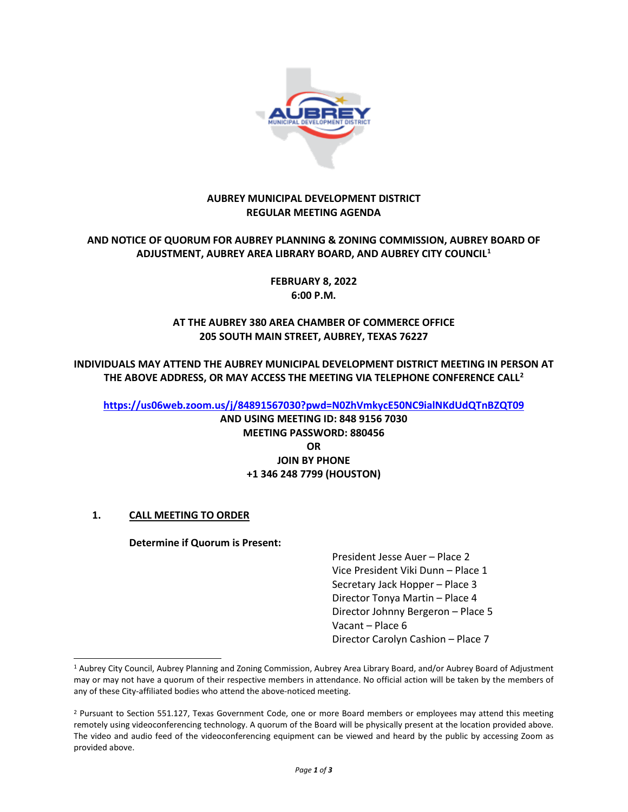

### **AUBREY MUNICIPAL DEVELOPMENT DISTRICT REGULAR MEETING AGENDA**

### **AND NOTICE OF QUORUM FOR AUBREY PLANNING & ZONING COMMISSION, AUBREY BOARD OF ADJUSTMENT, AUBREY AREA LIBRARY BOARD, AND AUBREY CITY COUNCIL[1](#page-0-0)**

**FEBRUARY 8, 2022 6:00 P.M.**

## **AT THE AUBREY 380 AREA CHAMBER OF COMMERCE OFFICE 205 SOUTH MAIN STREET, AUBREY, TEXAS 76227**

**INDIVIDUALS MAY ATTEND THE AUBREY MUNICIPAL DEVELOPMENT DISTRICT MEETING IN PERSON AT THE ABOVE ADDRESS, OR MAY ACCESS THE MEETING VIA TELEPHONE CONFERENCE CALL[2](#page-0-1)**

**<https://us06web.zoom.us/j/84891567030?pwd=N0ZhVmkycE50NC9ialNKdUdQTnBZQT09>**

**AND USING MEETING ID: 848 9156 7030 MEETING PASSWORD: 880456 OR JOIN BY PHONE +1 346 248 7799 (HOUSTON)**

# **1. CALL MEETING TO ORDER**

#### **Determine if Quorum is Present:**

President Jesse Auer – Place 2 Vice President Viki Dunn – Place 1 Secretary Jack Hopper – Place 3 Director Tonya Martin – Place 4 Director Johnny Bergeron – Place 5 Vacant – Place 6 Director Carolyn Cashion – Place 7

<span id="page-0-0"></span><sup>1</sup> Aubrey City Council, Aubrey Planning and Zoning Commission, Aubrey Area Library Board, and/or Aubrey Board of Adjustment may or may not have a quorum of their respective members in attendance. No official action will be taken by the members of any of these City-affiliated bodies who attend the above-noticed meeting.

<span id="page-0-1"></span><sup>&</sup>lt;sup>2</sup> Pursuant to Section 551.127, Texas Government Code, one or more Board members or employees may attend this meeting remotely using videoconferencing technology. A quorum of the Board will be physically present at the location provided above. The video and audio feed of the videoconferencing equipment can be viewed and heard by the public by accessing Zoom as provided above.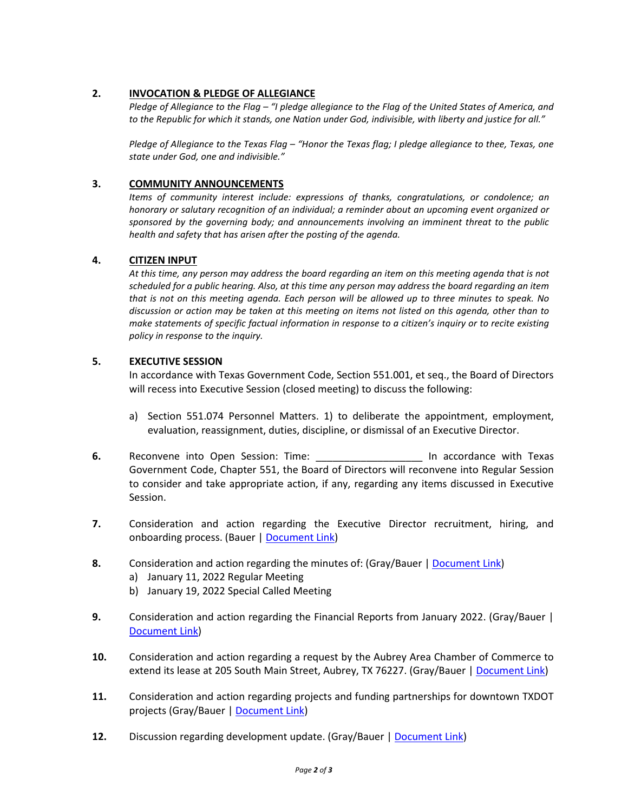### **2. INVOCATION & PLEDGE OF ALLEGIANCE**

*Pledge of Allegiance to the Flag – "I pledge allegiance to the Flag of the United States of America, and to the Republic for which it stands, one Nation under God, indivisible, with liberty and justice for all."*

*Pledge of Allegiance to the Texas Flag – "Honor the Texas flag; I pledge allegiance to thee, Texas, one state under God, one and indivisible."*

#### **3. COMMUNITY ANNOUNCEMENTS**

*Items of community interest include: expressions of thanks, congratulations, or condolence; an honorary or salutary recognition of an individual; a reminder about an upcoming event organized or sponsored by the governing body; and announcements involving an imminent threat to the public health and safety that has arisen after the posting of the agenda.*

#### **4. CITIZEN INPUT**

*At this time, any person may address the board regarding an item on this meeting agenda that is not scheduled for a public hearing. Also, at this time any person may address the board regarding an item that is not on this meeting agenda. Each person will be allowed up to three minutes to speak. No discussion or action may be taken at this meeting on items not listed on this agenda, other than to make statements of specific factual information in response to a citizen's inquiry or to recite existing policy in response to the inquiry.*

#### **5. EXECUTIVE SESSION**

In accordance with Texas Government Code, Section 551.001, et seq., the Board of Directors will recess into Executive Session (closed meeting) to discuss the following:

- a) Section 551.074 Personnel Matters. 1) to deliberate the appointment, employment, evaluation, reassignment, duties, discipline, or dismissal of an Executive Director.
- **6.** Reconvene into Open Session: Time: \_\_\_\_\_\_\_\_\_\_\_\_\_\_\_\_\_\_\_ In accordance with Texas Government Code, Chapter 551, the Board of Directors will reconvene into Regular Session to consider and take appropriate action, if any, regarding any items discussed in Executive Session.
- **7.** Consideration and action regarding the Executive Director recruitment, hiring, and onboarding process. (Bauer | [Document Link\)](https://www.dropbox.com/s/vcrxfgng0atmpo3/2022%200208%20Item%2007.pdf?dl=0)
- **8.** Consideration and action regarding the minutes of: (Gray/Bauer [| Document Link\)](https://www.dropbox.com/s/55czqw1deybqj1l/2022%200208%20Item%2008.pdf?dl=0)
	- a) January 11, 2022 Regular Meeting
	- b) January 19, 2022 Special Called Meeting
- **9.** Consideration and action regarding the Financial Reports from January 2022. (Gray/Bauer | [Document Link\)](https://www.dropbox.com/s/dbhubpmbsog7rwb/2022%200208%20Item%2009.pdf?dl=0)
- **10.** Consideration and action regarding a request by the Aubrey Area Chamber of Commerce to extend its lease at 205 South Main Street, Aubrey, TX 76227. (Gray/Bauer | [Document Link\)](https://www.dropbox.com/s/lbuxctb4putci4v/2022%200208%20Item%2010.pdf?dl=0)
- **11.** Consideration and action regarding projects and funding partnerships for downtown TXDOT projects (Gray/Bauer [| Document Link\)](https://www.dropbox.com/s/vfx4p4rpsq8azoc/2022%200208%20Item%2011.pdf?dl=0)
- **12.** Discussion regarding development update. (Gray/Bauer [| Document Link\)](https://www.dropbox.com/s/z4s1wtacvja7i0x/2022%200208%20Item%2012.pdf?dl=0)